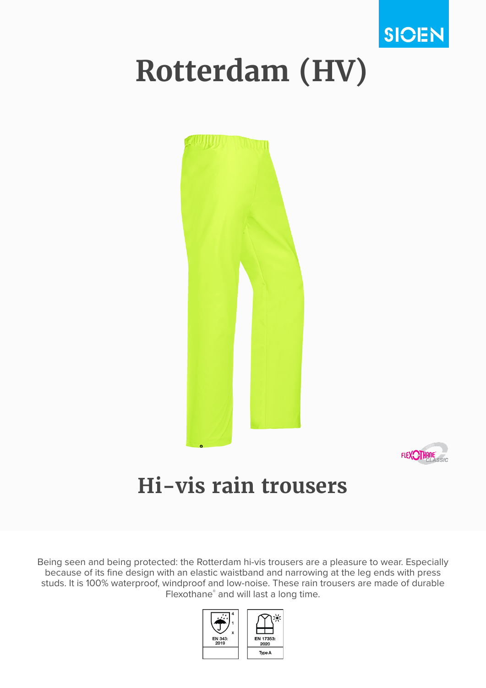

# **Rotterdam (HV)**





## **Hi-vis rain trousers**

Being seen and being protected: the Rotterdam hi-vis trousers are a pleasure to wear. Especially because of its fine design with an elastic waistband and narrowing at the leg ends with press studs. It is 100% waterproof, windproof and low-noise. These rain trousers are made of durable Flexothane® and will last a long time.

EN 17353:

2020 Type A